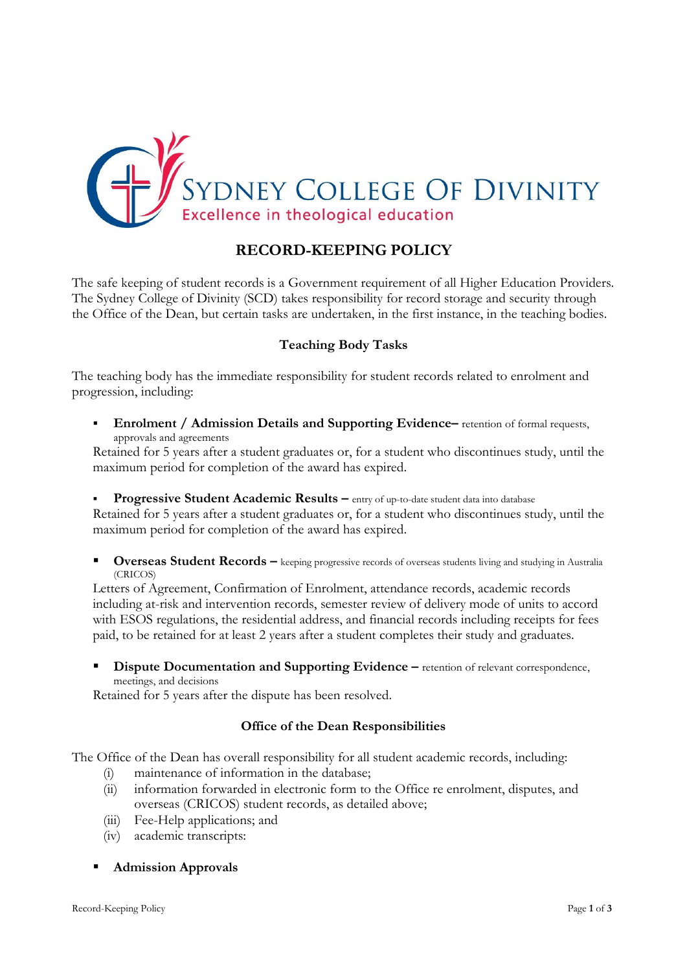

# **RECORD-KEEPING POLICY**

The safe keeping of student records is a Government requirement of all Higher Education Providers. The Sydney College of Divinity (SCD) takes responsibility for record storage and security through the Office of the Dean, but certain tasks are undertaken, in the first instance, in the teaching bodies.

# **Teaching Body Tasks**

The teaching body has the immediate responsibility for student records related to enrolment and progression, including:

**Enrolment / Admission Details and Supporting Evidence–** retention of formal requests, approvals and agreements

Retained for 5 years after a student graduates or, for a student who discontinues study, until the maximum period for completion of the award has expired.

**Progressive Student Academic Results –** entry of up-to-date student data into database

Retained for 5 years after a student graduates or, for a student who discontinues study, until the maximum period for completion of the award has expired.

Overseas Student Records - keeping progressive records of overseas students living and studying in Australia (CRICOS)

Letters of Agreement, Confirmation of Enrolment, attendance records, academic records including at-risk and intervention records, semester review of delivery mode of units to accord with ESOS regulations, the residential address, and financial records including receipts for fees paid, to be retained for at least 2 years after a student completes their study and graduates.

**Dispute Documentation and Supporting Evidence –** retention of relevant correspondence, meetings, and decisions

Retained for 5 years after the dispute has been resolved.

# **Office of the Dean Responsibilities**

The Office of the Dean has overall responsibility for all student academic records, including:

- (i) maintenance of information in the database;
- (ii) information forwarded in electronic form to the Office re enrolment, disputes, and overseas (CRICOS) student records, as detailed above;
- (iii) Fee-Help applications; and
- (iv) academic transcripts:

# ▪ **Admission Approvals**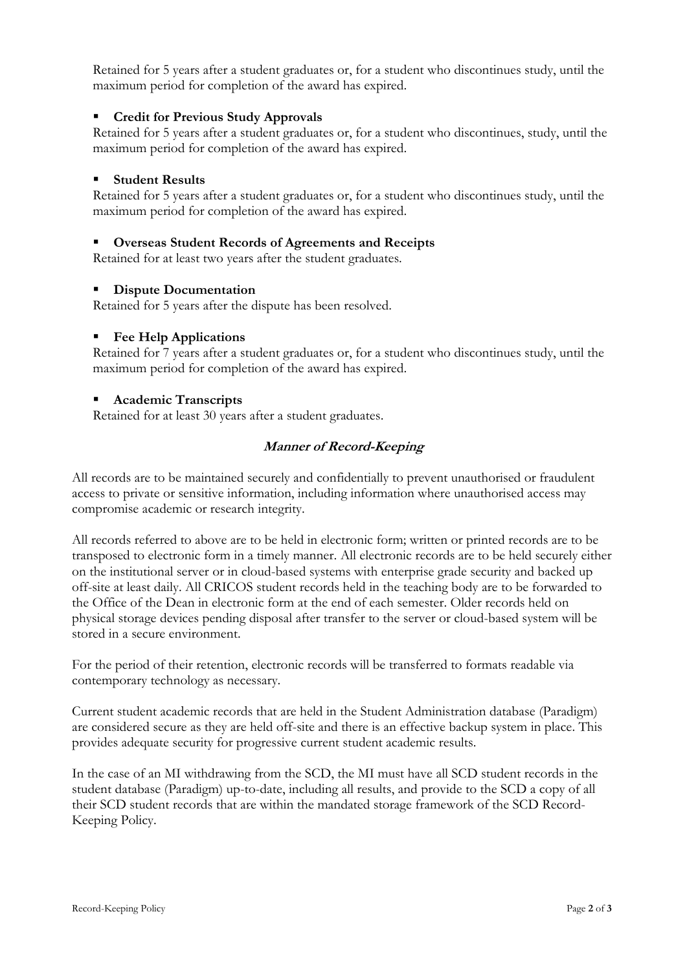Retained for 5 years after a student graduates or, for a student who discontinues study, until the maximum period for completion of the award has expired.

# **Credit for Previous Study Approvals**

Retained for 5 years after a student graduates or, for a student who discontinues, study, until the maximum period for completion of the award has expired.

#### ▪ **Student Results**

Retained for 5 years after a student graduates or, for a student who discontinues study, until the maximum period for completion of the award has expired.

#### **Overseas Student Records of Agreements and Receipts**

Retained for at least two years after the student graduates.

#### **Dispute Documentation**

Retained for 5 years after the dispute has been resolved.

#### **Fee Help Applications**

Retained for 7 years after a student graduates or, for a student who discontinues study, until the maximum period for completion of the award has expired.

#### ▪ **Academic Transcripts**

Retained for at least 30 years after a student graduates.

# **Manner of Record-Keeping**

All records are to be maintained securely and confidentially to prevent unauthorised or fraudulent access to private or sensitive information, including information where unauthorised access may compromise academic or research integrity.

All records referred to above are to be held in electronic form; written or printed records are to be transposed to electronic form in a timely manner. All electronic records are to be held securely either on the institutional server or in cloud-based systems with enterprise grade security and backed up off-site at least daily. All CRICOS student records held in the teaching body are to be forwarded to the Office of the Dean in electronic form at the end of each semester. Older records held on physical storage devices pending disposal after transfer to the server or cloud-based system will be stored in a secure environment.

For the period of their retention, electronic records will be transferred to formats readable via contemporary technology as necessary.

Current student academic records that are held in the Student Administration database (Paradigm) are considered secure as they are held off-site and there is an effective backup system in place. This provides adequate security for progressive current student academic results.

In the case of an MI withdrawing from the SCD, the MI must have all SCD student records in the student database (Paradigm) up-to-date, including all results, and provide to the SCD a copy of all their SCD student records that are within the mandated storage framework of the SCD Record-Keeping Policy.